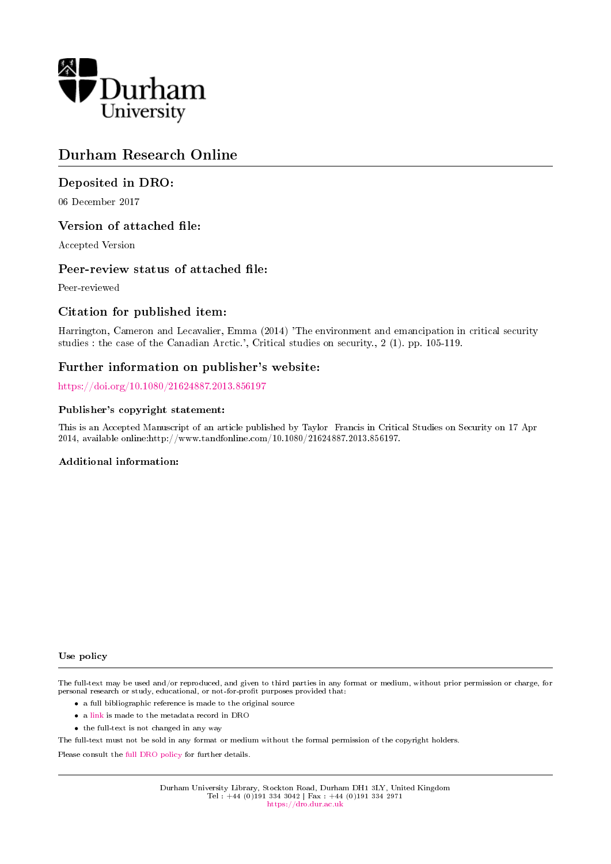

# Durham Research Online

### Deposited in DRO:

06 December 2017

### Version of attached file:

Accepted Version

### Peer-review status of attached file:

Peer-reviewed

### Citation for published item:

Harrington, Cameron and Lecavalier, Emma (2014) 'The environment and emancipation in critical security studies : the case of the Canadian Arctic.', Critical studies on security., 2 (1). pp. 105-119.

### Further information on publisher's website:

<https://doi.org/10.1080/21624887.2013.856197>

#### Publisher's copyright statement:

This is an Accepted Manuscript of an article published by Taylor Francis in Critical Studies on Security on 17 Apr 2014, available online:http://www.tandfonline.com/10.1080/21624887.2013.856197.

#### Additional information:

#### Use policy

The full-text may be used and/or reproduced, and given to third parties in any format or medium, without prior permission or charge, for personal research or study, educational, or not-for-profit purposes provided that:

- a full bibliographic reference is made to the original source
- a [link](http://dro.dur.ac.uk/23644/) is made to the metadata record in DRO
- the full-text is not changed in any way

The full-text must not be sold in any format or medium without the formal permission of the copyright holders.

Please consult the [full DRO policy](https://dro.dur.ac.uk/policies/usepolicy.pdf) for further details.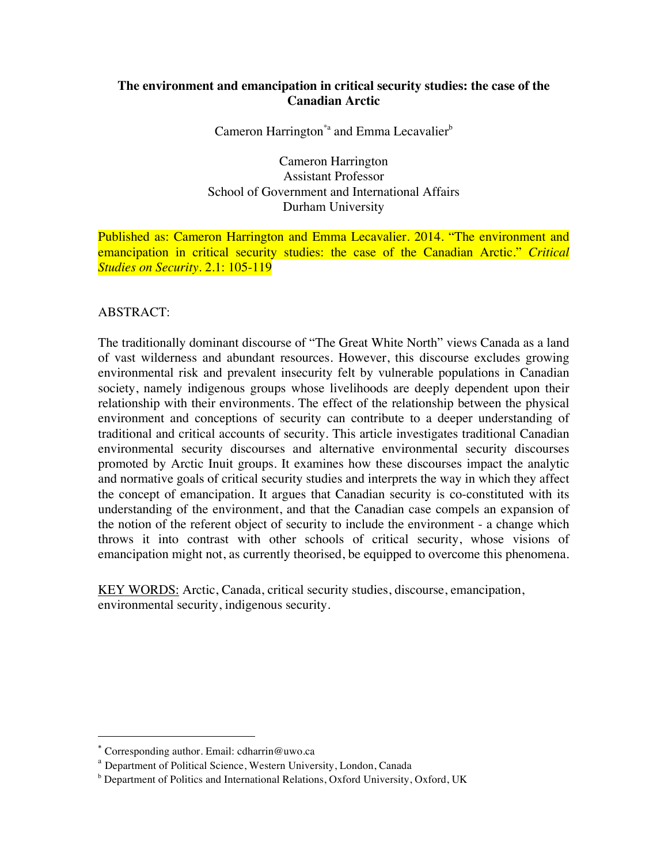## **The environment and emancipation in critical security studies: the case of the Canadian Arctic**

Cameron Harrington<sup>\*</sup><sup>a</sup> and Emma Lecavalier<sup>b</sup>

Cameron Harrington Assistant Professor School of Government and International Affairs Durham University

Published as: Cameron Harrington and Emma Lecavalier. 2014. "The environment and emancipation in critical security studies: the case of the Canadian Arctic." *Critical Studies on Security*. 2.1: 105-119

### ABSTRACT:

The traditionally dominant discourse of "The Great White North" views Canada as a land of vast wilderness and abundant resources. However, this discourse excludes growing environmental risk and prevalent insecurity felt by vulnerable populations in Canadian society, namely indigenous groups whose livelihoods are deeply dependent upon their relationship with their environments. The effect of the relationship between the physical environment and conceptions of security can contribute to a deeper understanding of traditional and critical accounts of security. This article investigates traditional Canadian environmental security discourses and alternative environmental security discourses promoted by Arctic Inuit groups. It examines how these discourses impact the analytic and normative goals of critical security studies and interprets the way in which they affect the concept of emancipation. It argues that Canadian security is co-constituted with its understanding of the environment, and that the Canadian case compels an expansion of the notion of the referent object of security to include the environment - a change which throws it into contrast with other schools of critical security, whose visions of emancipation might not, as currently theorised, be equipped to overcome this phenomena.

KEY WORDS: Arctic, Canada, critical security studies, discourse, emancipation, environmental security, indigenous security.

 

<sup>\*</sup> Corresponding author. Email: cdharrin@uwo.ca

<sup>&</sup>lt;sup>a</sup> Department of Political Science, Western University, London, Canada

<sup>&</sup>lt;sup>b</sup> Department of Politics and International Relations, Oxford University, Oxford, UK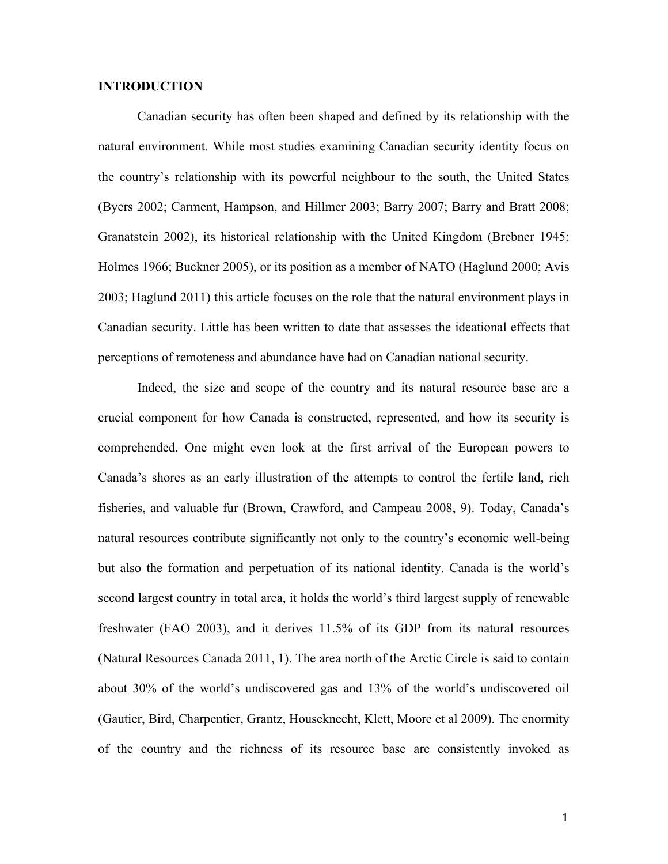#### **INTRODUCTION**

Canadian security has often been shaped and defined by its relationship with the natural environment. While most studies examining Canadian security identity focus on the country's relationship with its powerful neighbour to the south, the United States (Byers 2002; Carment, Hampson, and Hillmer 2003; Barry 2007; Barry and Bratt 2008; Granatstein 2002), its historical relationship with the United Kingdom (Brebner 1945; Holmes 1966; Buckner 2005), or its position as a member of NATO (Haglund 2000; Avis 2003; Haglund 2011) this article focuses on the role that the natural environment plays in Canadian security. Little has been written to date that assesses the ideational effects that perceptions of remoteness and abundance have had on Canadian national security.

Indeed, the size and scope of the country and its natural resource base are a crucial component for how Canada is constructed, represented, and how its security is comprehended. One might even look at the first arrival of the European powers to Canada's shores as an early illustration of the attempts to control the fertile land, rich fisheries, and valuable fur (Brown, Crawford, and Campeau 2008, 9). Today, Canada's natural resources contribute significantly not only to the country's economic well-being but also the formation and perpetuation of its national identity. Canada is the world's second largest country in total area, it holds the world's third largest supply of renewable freshwater (FAO 2003), and it derives 11.5% of its GDP from its natural resources (Natural Resources Canada 2011, 1). The area north of the Arctic Circle is said to contain about 30% of the world's undiscovered gas and 13% of the world's undiscovered oil (Gautier, Bird, Charpentier, Grantz, Houseknecht, Klett, Moore et al 2009). The enormity of the country and the richness of its resource base are consistently invoked as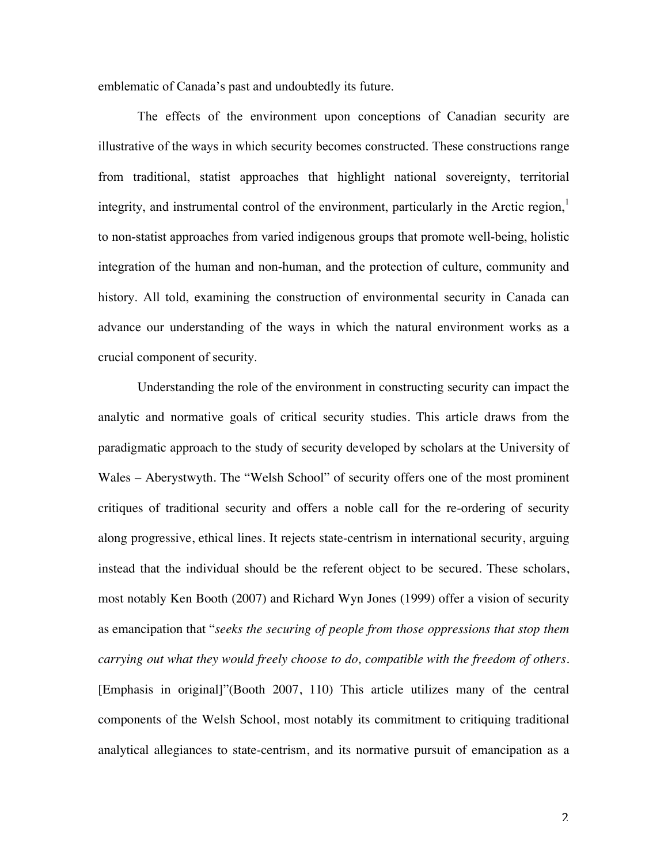emblematic of Canada's past and undoubtedly its future.

The effects of the environment upon conceptions of Canadian security are illustrative of the ways in which security becomes constructed. These constructions range from traditional, statist approaches that highlight national sovereignty, territorial integrity, and instrumental control of the environment, particularly in the Arctic region, $\frac{1}{1}$ to non-statist approaches from varied indigenous groups that promote well-being, holistic integration of the human and non-human, and the protection of culture, community and history. All told, examining the construction of environmental security in Canada can advance our understanding of the ways in which the natural environment works as a crucial component of security.

Understanding the role of the environment in constructing security can impact the analytic and normative goals of critical security studies. This article draws from the paradigmatic approach to the study of security developed by scholars at the University of Wales – Aberystwyth. The "Welsh School" of security offers one of the most prominent critiques of traditional security and offers a noble call for the re-ordering of security along progressive, ethical lines. It rejects state-centrism in international security, arguing instead that the individual should be the referent object to be secured. These scholars, most notably Ken Booth (2007) and Richard Wyn Jones (1999) offer a vision of security as emancipation that "*seeks the securing of people from those oppressions that stop them carrying out what they would freely choose to do, compatible with the freedom of others.* [Emphasis in original]"(Booth 2007, 110) This article utilizes many of the central components of the Welsh School, most notably its commitment to critiquing traditional analytical allegiances to state-centrism, and its normative pursuit of emancipation as a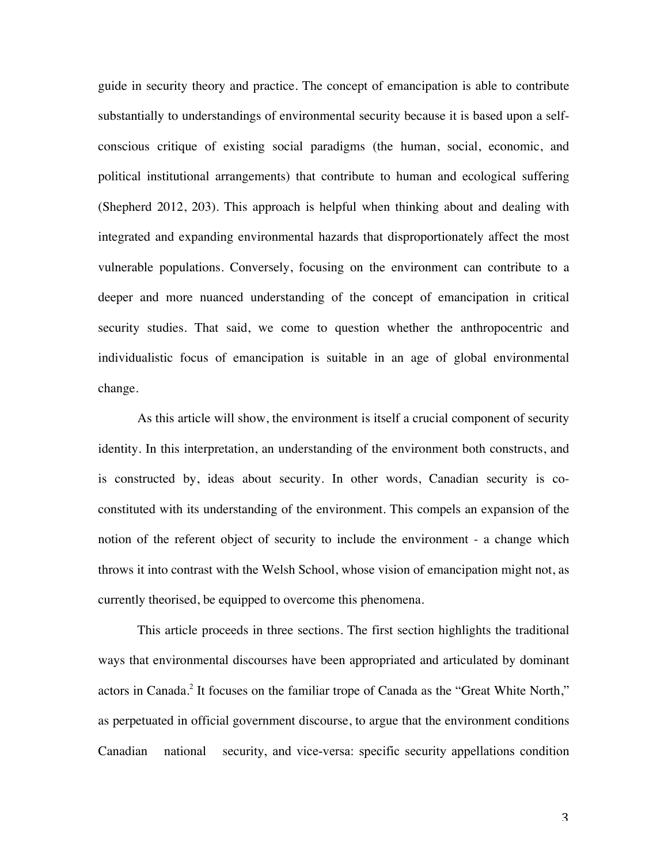guide in security theory and practice. The concept of emancipation is able to contribute substantially to understandings of environmental security because it is based upon a selfconscious critique of existing social paradigms (the human, social, economic, and political institutional arrangements) that contribute to human and ecological suffering (Shepherd 2012, 203). This approach is helpful when thinking about and dealing with integrated and expanding environmental hazards that disproportionately affect the most vulnerable populations. Conversely, focusing on the environment can contribute to a deeper and more nuanced understanding of the concept of emancipation in critical security studies. That said, we come to question whether the anthropocentric and individualistic focus of emancipation is suitable in an age of global environmental change.

As this article will show, the environment is itself a crucial component of security identity. In this interpretation, an understanding of the environment both constructs, and is constructed by, ideas about security. In other words, Canadian security is coconstituted with its understanding of the environment. This compels an expansion of the notion of the referent object of security to include the environment - a change which throws it into contrast with the Welsh School, whose vision of emancipation might not, as currently theorised, be equipped to overcome this phenomena.

This article proceeds in three sections. The first section highlights the traditional ways that environmental discourses have been appropriated and articulated by dominant actors in Canada.<sup>2</sup> It focuses on the familiar trope of Canada as the "Great White North," as perpetuated in official government discourse, to argue that the environment conditions Canadian national security, and vice-versa: specific security appellations condition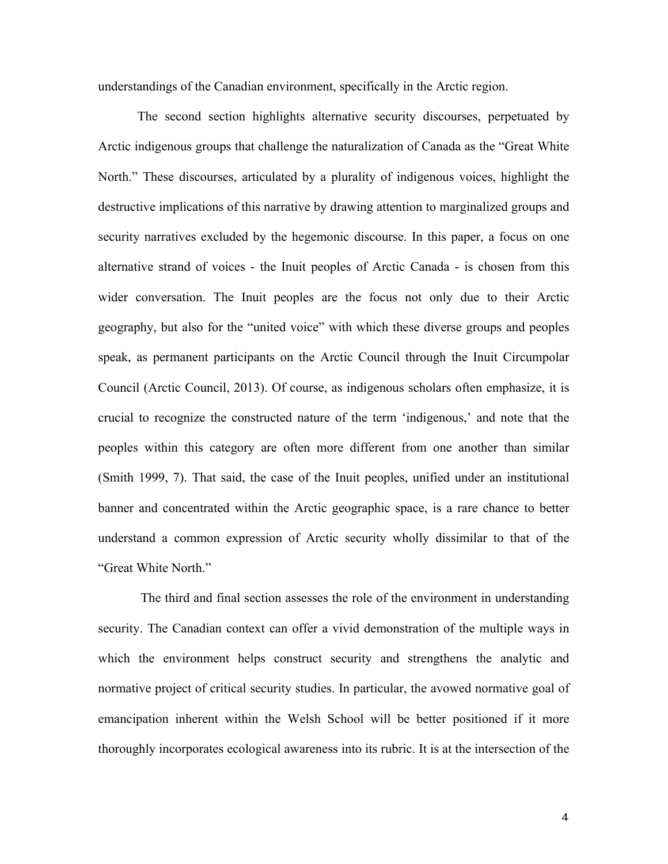understandings of the Canadian environment, specifically in the Arctic region.

The second section highlights alternative security discourses, perpetuated by Arctic indigenous groups that challenge the naturalization of Canada as the "Great White North." These discourses, articulated by a plurality of indigenous voices, highlight the destructive implications of this narrative by drawing attention to marginalized groups and security narratives excluded by the hegemonic discourse. In this paper, a focus on one alternative strand of voices - the Inuit peoples of Arctic Canada - is chosen from this wider conversation. The Inuit peoples are the focus not only due to their Arctic geography, but also for the "united voice" with which these diverse groups and peoples speak, as permanent participants on the Arctic Council through the Inuit Circumpolar Council (Arctic Council, 2013). Of course, as indigenous scholars often emphasize, it is crucial to recognize the constructed nature of the term 'indigenous,' and note that the peoples within this category are often more different from one another than similar (Smith 1999, 7). That said, the case of the Inuit peoples, unified under an institutional banner and concentrated within the Arctic geographic space, is a rare chance to better understand a common expression of Arctic security wholly dissimilar to that of the "Great White North."

The third and final section assesses the role of the environment in understanding security. The Canadian context can offer a vivid demonstration of the multiple ways in which the environment helps construct security and strengthens the analytic and normative project of critical security studies. In particular, the avowed normative goal of emancipation inherent within the Welsh School will be better positioned if it more thoroughly incorporates ecological awareness into its rubric. It is at the intersection of the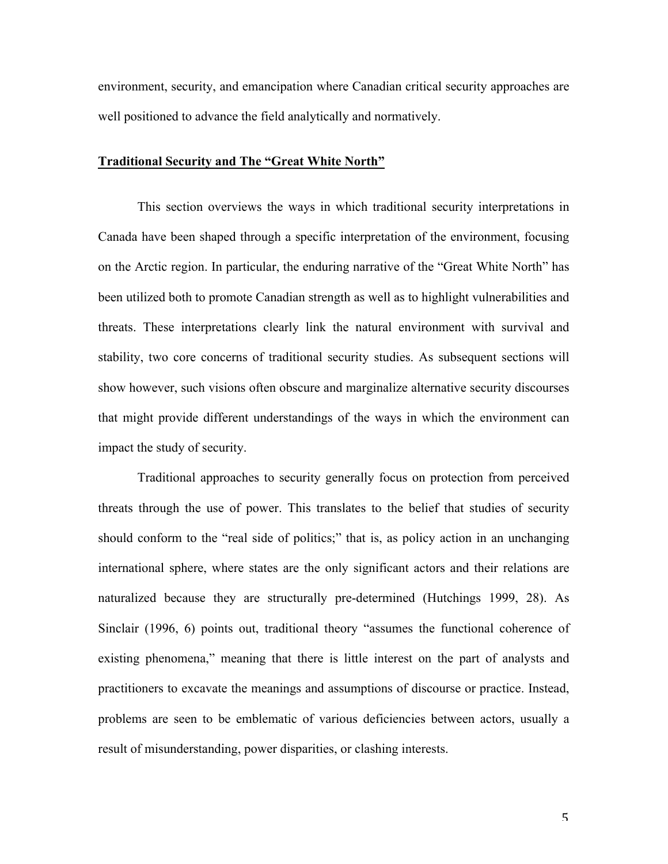environment, security, and emancipation where Canadian critical security approaches are well positioned to advance the field analytically and normatively.

### **Traditional Security and The "Great White North"**

This section overviews the ways in which traditional security interpretations in Canada have been shaped through a specific interpretation of the environment, focusing on the Arctic region. In particular, the enduring narrative of the "Great White North" has been utilized both to promote Canadian strength as well as to highlight vulnerabilities and threats. These interpretations clearly link the natural environment with survival and stability, two core concerns of traditional security studies. As subsequent sections will show however, such visions often obscure and marginalize alternative security discourses that might provide different understandings of the ways in which the environment can impact the study of security.

Traditional approaches to security generally focus on protection from perceived threats through the use of power. This translates to the belief that studies of security should conform to the "real side of politics;" that is, as policy action in an unchanging international sphere, where states are the only significant actors and their relations are naturalized because they are structurally pre-determined (Hutchings 1999, 28). As Sinclair (1996, 6) points out, traditional theory "assumes the functional coherence of existing phenomena," meaning that there is little interest on the part of analysts and practitioners to excavate the meanings and assumptions of discourse or practice. Instead, problems are seen to be emblematic of various deficiencies between actors, usually a result of misunderstanding, power disparities, or clashing interests.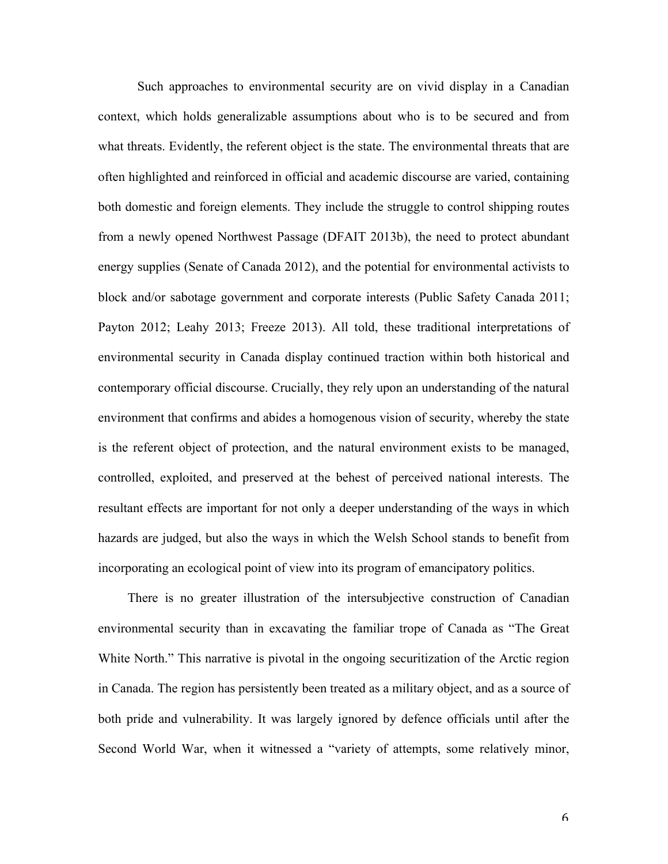Such approaches to environmental security are on vivid display in a Canadian context, which holds generalizable assumptions about who is to be secured and from what threats. Evidently, the referent object is the state. The environmental threats that are often highlighted and reinforced in official and academic discourse are varied, containing both domestic and foreign elements. They include the struggle to control shipping routes from a newly opened Northwest Passage (DFAIT 2013b), the need to protect abundant energy supplies (Senate of Canada 2012), and the potential for environmental activists to block and/or sabotage government and corporate interests (Public Safety Canada 2011; Payton 2012; Leahy 2013; Freeze 2013). All told, these traditional interpretations of environmental security in Canada display continued traction within both historical and contemporary official discourse. Crucially, they rely upon an understanding of the natural environment that confirms and abides a homogenous vision of security, whereby the state is the referent object of protection, and the natural environment exists to be managed, controlled, exploited, and preserved at the behest of perceived national interests. The resultant effects are important for not only a deeper understanding of the ways in which hazards are judged, but also the ways in which the Welsh School stands to benefit from incorporating an ecological point of view into its program of emancipatory politics.

There is no greater illustration of the intersubjective construction of Canadian environmental security than in excavating the familiar trope of Canada as "The Great White North." This narrative is pivotal in the ongoing securitization of the Arctic region in Canada. The region has persistently been treated as a military object, and as a source of both pride and vulnerability. It was largely ignored by defence officials until after the Second World War, when it witnessed a "variety of attempts, some relatively minor,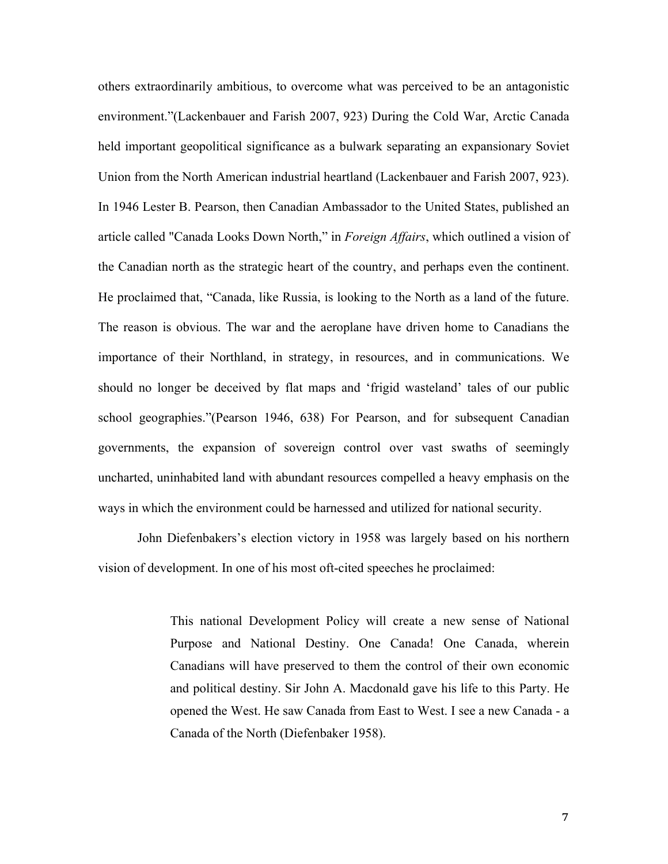others extraordinarily ambitious, to overcome what was perceived to be an antagonistic environment."(Lackenbauer and Farish 2007, 923) During the Cold War, Arctic Canada held important geopolitical significance as a bulwark separating an expansionary Soviet Union from the North American industrial heartland (Lackenbauer and Farish 2007, 923). In 1946 Lester B. Pearson, then Canadian Ambassador to the United States, published an article called "Canada Looks Down North," in *Foreign Affairs*, which outlined a vision of the Canadian north as the strategic heart of the country, and perhaps even the continent. He proclaimed that, "Canada, like Russia, is looking to the North as a land of the future. The reason is obvious. The war and the aeroplane have driven home to Canadians the importance of their Northland, in strategy, in resources, and in communications. We should no longer be deceived by flat maps and 'frigid wasteland' tales of our public school geographies."(Pearson 1946, 638) For Pearson, and for subsequent Canadian governments, the expansion of sovereign control over vast swaths of seemingly uncharted, uninhabited land with abundant resources compelled a heavy emphasis on the ways in which the environment could be harnessed and utilized for national security.

John Diefenbakers's election victory in 1958 was largely based on his northern vision of development. In one of his most oft-cited speeches he proclaimed:

> This national Development Policy will create a new sense of National Purpose and National Destiny. One Canada! One Canada, wherein Canadians will have preserved to them the control of their own economic and political destiny. Sir John A. Macdonald gave his life to this Party. He opened the West. He saw Canada from East to West. I see a new Canada - a Canada of the North (Diefenbaker 1958).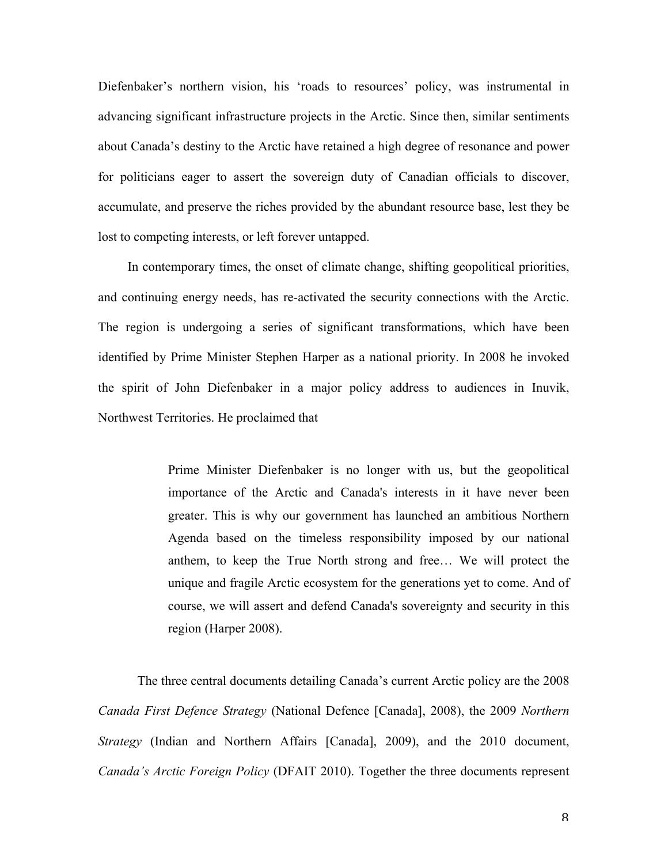Diefenbaker's northern vision, his 'roads to resources' policy, was instrumental in advancing significant infrastructure projects in the Arctic. Since then, similar sentiments about Canada's destiny to the Arctic have retained a high degree of resonance and power for politicians eager to assert the sovereign duty of Canadian officials to discover, accumulate, and preserve the riches provided by the abundant resource base, lest they be lost to competing interests, or left forever untapped.

In contemporary times, the onset of climate change, shifting geopolitical priorities, and continuing energy needs, has re-activated the security connections with the Arctic. The region is undergoing a series of significant transformations, which have been identified by Prime Minister Stephen Harper as a national priority. In 2008 he invoked the spirit of John Diefenbaker in a major policy address to audiences in Inuvik, Northwest Territories. He proclaimed that

> Prime Minister Diefenbaker is no longer with us, but the geopolitical importance of the Arctic and Canada's interests in it have never been greater. This is why our government has launched an ambitious Northern Agenda based on the timeless responsibility imposed by our national anthem, to keep the True North strong and free… We will protect the unique and fragile Arctic ecosystem for the generations yet to come. And of course, we will assert and defend Canada's sovereignty and security in this region (Harper 2008).

The three central documents detailing Canada's current Arctic policy are the 2008 *Canada First Defence Strategy* (National Defence [Canada], 2008), the 2009 *Northern Strategy* (Indian and Northern Affairs [Canada], 2009), and the 2010 document, *Canada's Arctic Foreign Policy* (DFAIT 2010). Together the three documents represent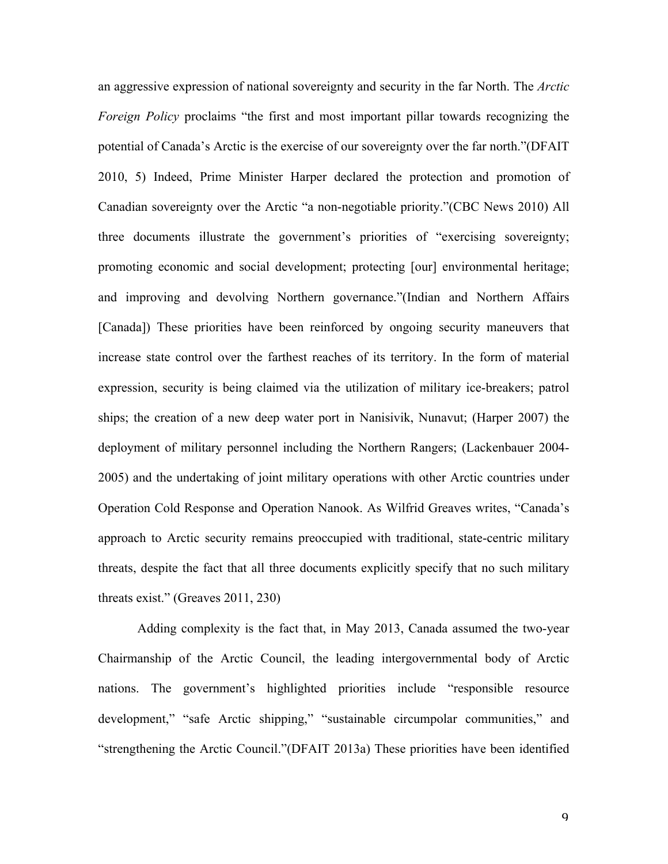an aggressive expression of national sovereignty and security in the far North. The *Arctic Foreign Policy* proclaims "the first and most important pillar towards recognizing the potential of Canada's Arctic is the exercise of our sovereignty over the far north."(DFAIT 2010, 5) Indeed, Prime Minister Harper declared the protection and promotion of Canadian sovereignty over the Arctic "a non-negotiable priority."(CBC News 2010) All three documents illustrate the government's priorities of "exercising sovereignty; promoting economic and social development; protecting [our] environmental heritage; and improving and devolving Northern governance."(Indian and Northern Affairs [Canada]) These priorities have been reinforced by ongoing security maneuvers that increase state control over the farthest reaches of its territory. In the form of material expression, security is being claimed via the utilization of military ice-breakers; patrol ships; the creation of a new deep water port in Nanisivik, Nunavut; (Harper 2007) the deployment of military personnel including the Northern Rangers; (Lackenbauer 2004- 2005) and the undertaking of joint military operations with other Arctic countries under Operation Cold Response and Operation Nanook. As Wilfrid Greaves writes, "Canada's approach to Arctic security remains preoccupied with traditional, state-centric military threats, despite the fact that all three documents explicitly specify that no such military threats exist." (Greaves 2011, 230)

Adding complexity is the fact that, in May 2013, Canada assumed the two-year Chairmanship of the Arctic Council, the leading intergovernmental body of Arctic nations. The government's highlighted priorities include "responsible resource development," "safe Arctic shipping," "sustainable circumpolar communities," and "strengthening the Arctic Council."(DFAIT 2013a) These priorities have been identified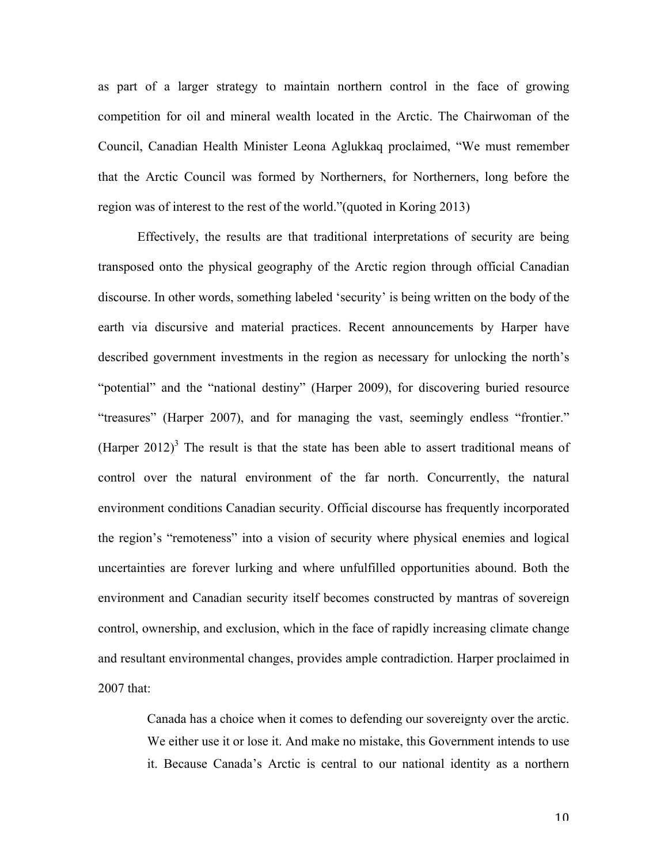as part of a larger strategy to maintain northern control in the face of growing competition for oil and mineral wealth located in the Arctic. The Chairwoman of the Council, Canadian Health Minister Leona Aglukkaq proclaimed, "We must remember that the Arctic Council was formed by Northerners, for Northerners, long before the region was of interest to the rest of the world."(quoted in Koring 2013)

Effectively, the results are that traditional interpretations of security are being transposed onto the physical geography of the Arctic region through official Canadian discourse. In other words, something labeled 'security' is being written on the body of the earth via discursive and material practices. Recent announcements by Harper have described government investments in the region as necessary for unlocking the north's "potential" and the "national destiny" (Harper 2009), for discovering buried resource "treasures" (Harper 2007), and for managing the vast, seemingly endless "frontier." (Harper 2012)<sup>3</sup> The result is that the state has been able to assert traditional means of control over the natural environment of the far north. Concurrently, the natural environment conditions Canadian security. Official discourse has frequently incorporated the region's "remoteness" into a vision of security where physical enemies and logical uncertainties are forever lurking and where unfulfilled opportunities abound. Both the environment and Canadian security itself becomes constructed by mantras of sovereign control, ownership, and exclusion, which in the face of rapidly increasing climate change and resultant environmental changes, provides ample contradiction. Harper proclaimed in 2007 that:

> Canada has a choice when it comes to defending our sovereignty over the arctic. We either use it or lose it. And make no mistake, this Government intends to use it. Because Canada's Arctic is central to our national identity as a northern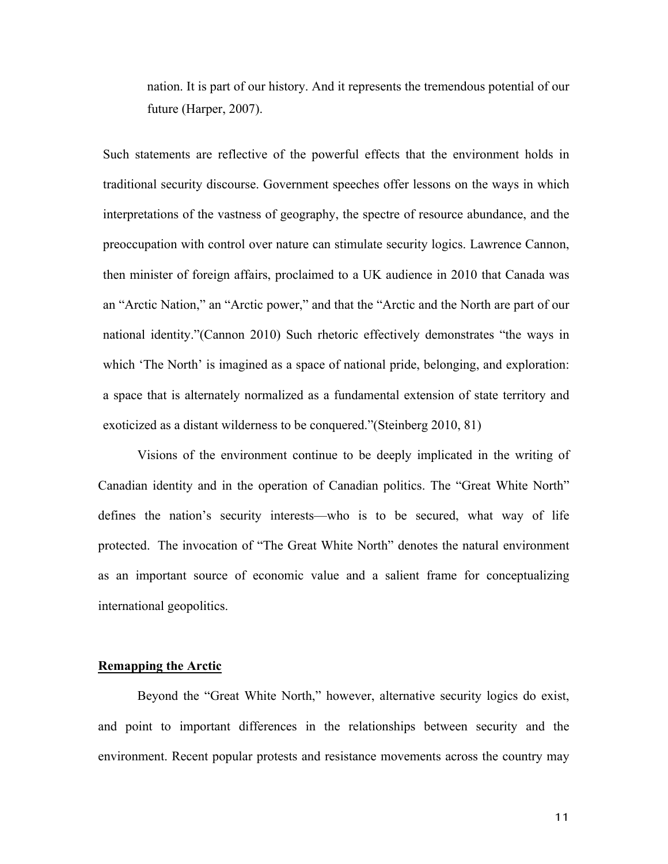nation. It is part of our history. And it represents the tremendous potential of our future (Harper, 2007).

Such statements are reflective of the powerful effects that the environment holds in traditional security discourse. Government speeches offer lessons on the ways in which interpretations of the vastness of geography, the spectre of resource abundance, and the preoccupation with control over nature can stimulate security logics. Lawrence Cannon, then minister of foreign affairs, proclaimed to a UK audience in 2010 that Canada was an "Arctic Nation," an "Arctic power," and that the "Arctic and the North are part of our national identity."(Cannon 2010) Such rhetoric effectively demonstrates "the ways in which 'The North' is imagined as a space of national pride, belonging, and exploration: a space that is alternately normalized as a fundamental extension of state territory and exoticized as a distant wilderness to be conquered."(Steinberg 2010, 81)

Visions of the environment continue to be deeply implicated in the writing of Canadian identity and in the operation of Canadian politics. The "Great White North" defines the nation's security interests—who is to be secured, what way of life protected. The invocation of "The Great White North" denotes the natural environment as an important source of economic value and a salient frame for conceptualizing international geopolitics.

#### **Remapping the Arctic**

Beyond the "Great White North," however, alternative security logics do exist, and point to important differences in the relationships between security and the environment. Recent popular protests and resistance movements across the country may

11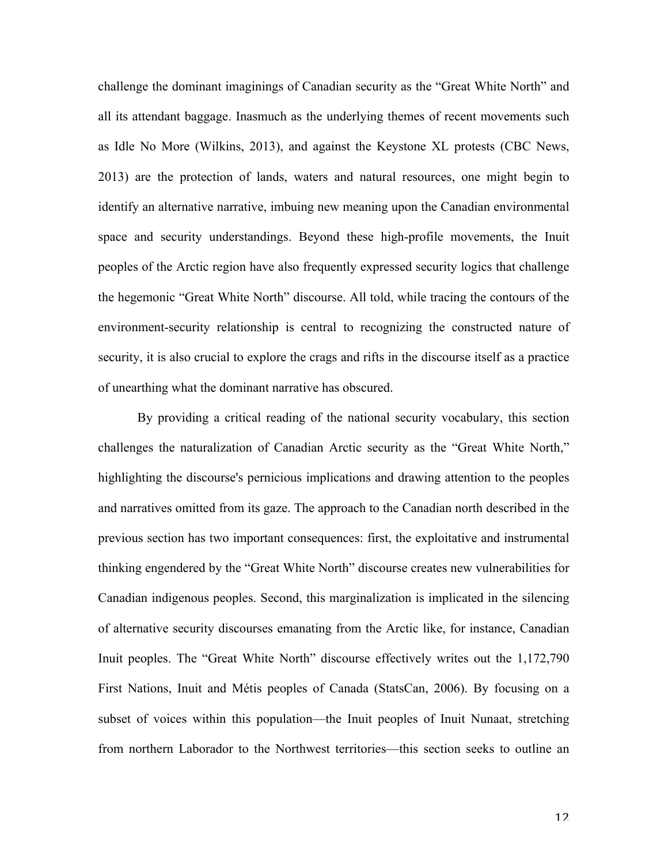challenge the dominant imaginings of Canadian security as the "Great White North" and all its attendant baggage. Inasmuch as the underlying themes of recent movements such as Idle No More (Wilkins, 2013), and against the Keystone XL protests (CBC News, 2013) are the protection of lands, waters and natural resources, one might begin to identify an alternative narrative, imbuing new meaning upon the Canadian environmental space and security understandings. Beyond these high-profile movements, the Inuit peoples of the Arctic region have also frequently expressed security logics that challenge the hegemonic "Great White North" discourse. All told, while tracing the contours of the environment-security relationship is central to recognizing the constructed nature of security, it is also crucial to explore the crags and rifts in the discourse itself as a practice of unearthing what the dominant narrative has obscured.

By providing a critical reading of the national security vocabulary, this section challenges the naturalization of Canadian Arctic security as the "Great White North," highlighting the discourse's pernicious implications and drawing attention to the peoples and narratives omitted from its gaze. The approach to the Canadian north described in the previous section has two important consequences: first, the exploitative and instrumental thinking engendered by the "Great White North" discourse creates new vulnerabilities for Canadian indigenous peoples. Second, this marginalization is implicated in the silencing of alternative security discourses emanating from the Arctic like, for instance, Canadian Inuit peoples. The "Great White North" discourse effectively writes out the 1,172,790 First Nations, Inuit and Métis peoples of Canada (StatsCan, 2006). By focusing on a subset of voices within this population—the Inuit peoples of Inuit Nunaat, stretching from northern Laborador to the Northwest territories—this section seeks to outline an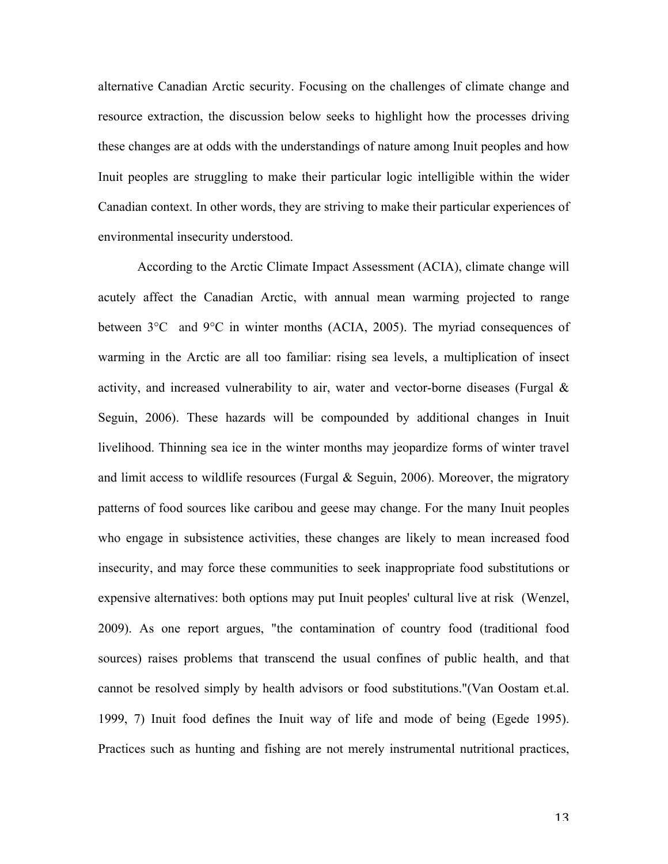alternative Canadian Arctic security. Focusing on the challenges of climate change and resource extraction, the discussion below seeks to highlight how the processes driving these changes are at odds with the understandings of nature among Inuit peoples and how Inuit peoples are struggling to make their particular logic intelligible within the wider Canadian context. In other words, they are striving to make their particular experiences of environmental insecurity understood.

According to the Arctic Climate Impact Assessment (ACIA), climate change will acutely affect the Canadian Arctic, with annual mean warming projected to range between 3°C and 9°C in winter months (ACIA, 2005). The myriad consequences of warming in the Arctic are all too familiar: rising sea levels, a multiplication of insect activity, and increased vulnerability to air, water and vector-borne diseases (Furgal  $\&$ Seguin, 2006). These hazards will be compounded by additional changes in Inuit livelihood. Thinning sea ice in the winter months may jeopardize forms of winter travel and limit access to wildlife resources (Furgal  $\&$  Seguin, 2006). Moreover, the migratory patterns of food sources like caribou and geese may change. For the many Inuit peoples who engage in subsistence activities, these changes are likely to mean increased food insecurity, and may force these communities to seek inappropriate food substitutions or expensive alternatives: both options may put Inuit peoples' cultural live at risk (Wenzel, 2009). As one report argues, "the contamination of country food (traditional food sources) raises problems that transcend the usual confines of public health, and that cannot be resolved simply by health advisors or food substitutions."(Van Oostam et.al. 1999, 7) Inuit food defines the Inuit way of life and mode of being (Egede 1995). Practices such as hunting and fishing are not merely instrumental nutritional practices,

13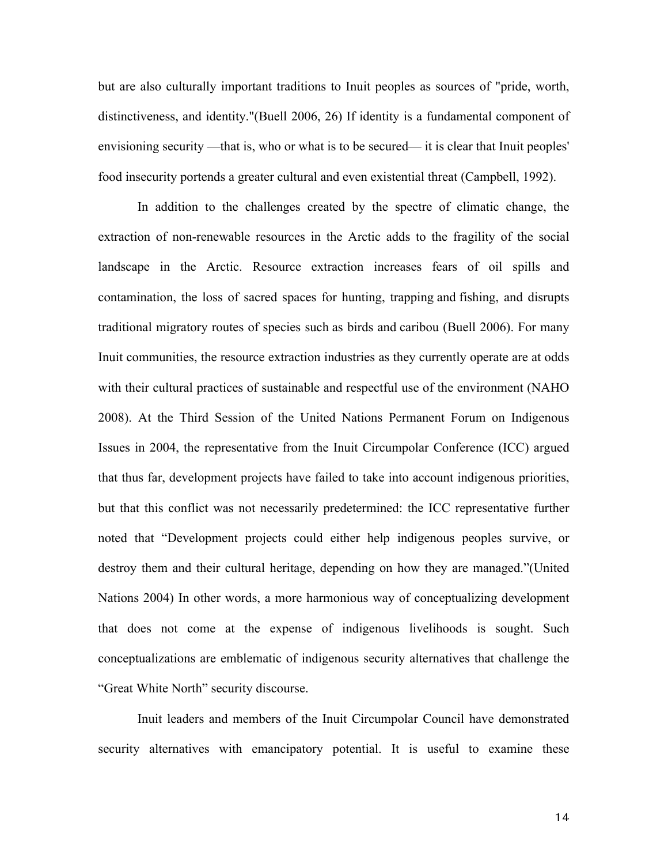but are also culturally important traditions to Inuit peoples as sources of "pride, worth, distinctiveness, and identity."(Buell 2006, 26) If identity is a fundamental component of envisioning security —that is, who or what is to be secured— it is clear that Inuit peoples' food insecurity portends a greater cultural and even existential threat (Campbell, 1992).

In addition to the challenges created by the spectre of climatic change, the extraction of non-renewable resources in the Arctic adds to the fragility of the social landscape in the Arctic. Resource extraction increases fears of oil spills and contamination, the loss of sacred spaces for hunting, trapping and fishing, and disrupts traditional migratory routes of species such as birds and caribou (Buell 2006). For many Inuit communities, the resource extraction industries as they currently operate are at odds with their cultural practices of sustainable and respectful use of the environment (NAHO 2008). At the Third Session of the United Nations Permanent Forum on Indigenous Issues in 2004, the representative from the Inuit Circumpolar Conference (ICC) argued that thus far, development projects have failed to take into account indigenous priorities, but that this conflict was not necessarily predetermined: the ICC representative further noted that "Development projects could either help indigenous peoples survive, or destroy them and their cultural heritage, depending on how they are managed."(United Nations 2004) In other words, a more harmonious way of conceptualizing development that does not come at the expense of indigenous livelihoods is sought. Such conceptualizations are emblematic of indigenous security alternatives that challenge the "Great White North" security discourse.

Inuit leaders and members of the Inuit Circumpolar Council have demonstrated security alternatives with emancipatory potential. It is useful to examine these

14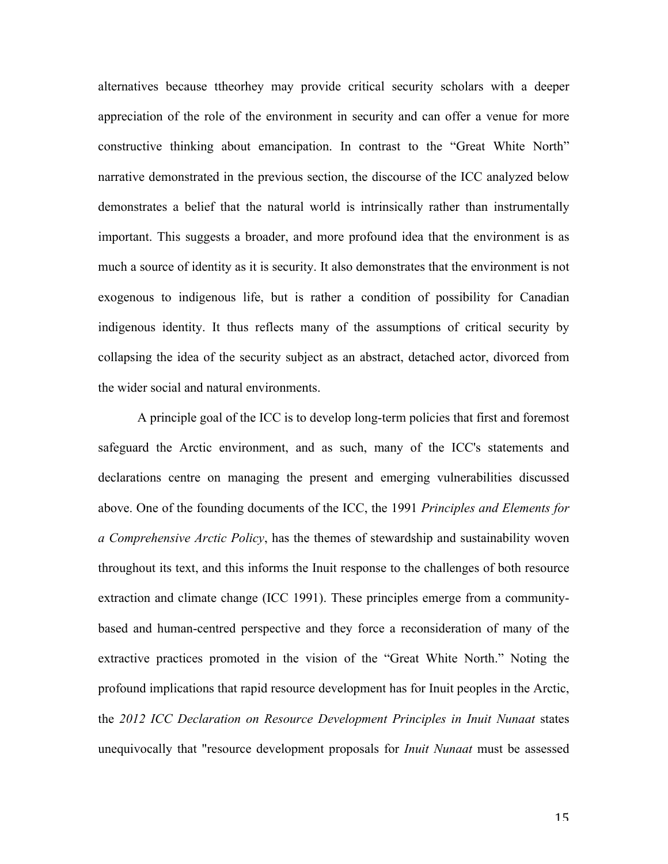alternatives because ttheorhey may provide critical security scholars with a deeper appreciation of the role of the environment in security and can offer a venue for more constructive thinking about emancipation. In contrast to the "Great White North" narrative demonstrated in the previous section, the discourse of the ICC analyzed below demonstrates a belief that the natural world is intrinsically rather than instrumentally important. This suggests a broader, and more profound idea that the environment is as much a source of identity as it is security. It also demonstrates that the environment is not exogenous to indigenous life, but is rather a condition of possibility for Canadian indigenous identity. It thus reflects many of the assumptions of critical security by collapsing the idea of the security subject as an abstract, detached actor, divorced from the wider social and natural environments.

A principle goal of the ICC is to develop long-term policies that first and foremost safeguard the Arctic environment, and as such, many of the ICC's statements and declarations centre on managing the present and emerging vulnerabilities discussed above. One of the founding documents of the ICC, the 1991 *Principles and Elements for a Comprehensive Arctic Policy*, has the themes of stewardship and sustainability woven throughout its text, and this informs the Inuit response to the challenges of both resource extraction and climate change (ICC 1991). These principles emerge from a communitybased and human-centred perspective and they force a reconsideration of many of the extractive practices promoted in the vision of the "Great White North." Noting the profound implications that rapid resource development has for Inuit peoples in the Arctic, the *2012 ICC Declaration on Resource Development Principles in Inuit Nunaat* states unequivocally that "resource development proposals for *Inuit Nunaat* must be assessed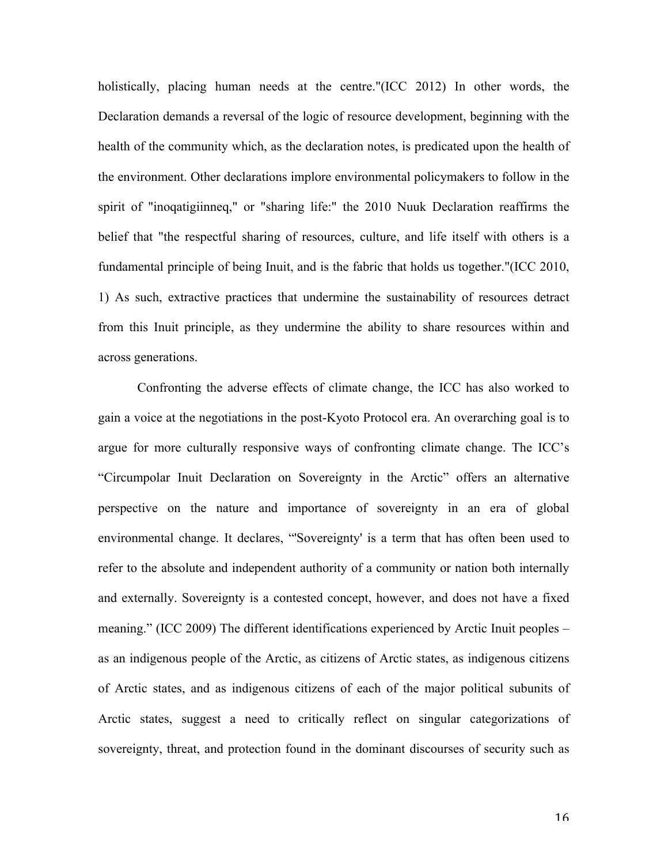holistically, placing human needs at the centre."(ICC 2012) In other words, the Declaration demands a reversal of the logic of resource development, beginning with the health of the community which, as the declaration notes, is predicated upon the health of the environment. Other declarations implore environmental policymakers to follow in the spirit of "inoqatigiinneq," or "sharing life:" the 2010 Nuuk Declaration reaffirms the belief that "the respectful sharing of resources, culture, and life itself with others is a fundamental principle of being Inuit, and is the fabric that holds us together."(ICC 2010, 1) As such, extractive practices that undermine the sustainability of resources detract from this Inuit principle, as they undermine the ability to share resources within and across generations.

Confronting the adverse effects of climate change, the ICC has also worked to gain a voice at the negotiations in the post-Kyoto Protocol era. An overarching goal is to argue for more culturally responsive ways of confronting climate change. The ICC's "Circumpolar Inuit Declaration on Sovereignty in the Arctic" offers an alternative perspective on the nature and importance of sovereignty in an era of global environmental change. It declares, "'Sovereignty' is a term that has often been used to refer to the absolute and independent authority of a community or nation both internally and externally. Sovereignty is a contested concept, however, and does not have a fixed meaning." (ICC 2009) The different identifications experienced by Arctic Inuit peoples – as an indigenous people of the Arctic, as citizens of Arctic states, as indigenous citizens of Arctic states, and as indigenous citizens of each of the major political subunits of Arctic states, suggest a need to critically reflect on singular categorizations of sovereignty, threat, and protection found in the dominant discourses of security such as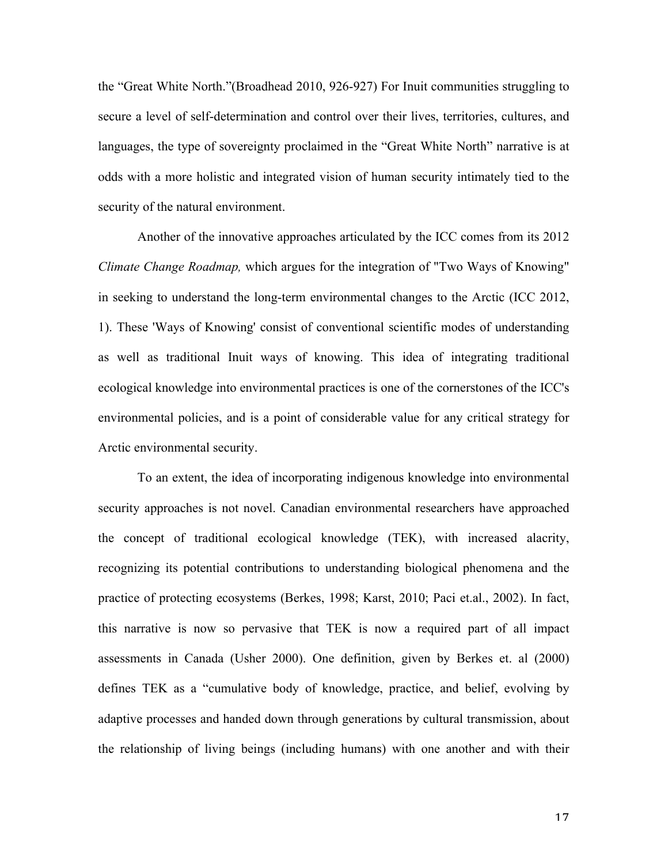the "Great White North."(Broadhead 2010, 926-927) For Inuit communities struggling to secure a level of self-determination and control over their lives, territories, cultures, and languages, the type of sovereignty proclaimed in the "Great White North" narrative is at odds with a more holistic and integrated vision of human security intimately tied to the security of the natural environment.

Another of the innovative approaches articulated by the ICC comes from its 2012 *Climate Change Roadmap,* which argues for the integration of "Two Ways of Knowing" in seeking to understand the long-term environmental changes to the Arctic (ICC 2012, 1). These 'Ways of Knowing' consist of conventional scientific modes of understanding as well as traditional Inuit ways of knowing. This idea of integrating traditional ecological knowledge into environmental practices is one of the cornerstones of the ICC's environmental policies, and is a point of considerable value for any critical strategy for Arctic environmental security.

To an extent, the idea of incorporating indigenous knowledge into environmental security approaches is not novel. Canadian environmental researchers have approached the concept of traditional ecological knowledge (TEK), with increased alacrity, recognizing its potential contributions to understanding biological phenomena and the practice of protecting ecosystems (Berkes, 1998; Karst, 2010; Paci et.al., 2002). In fact, this narrative is now so pervasive that TEK is now a required part of all impact assessments in Canada (Usher 2000). One definition, given by Berkes et. al (2000) defines TEK as a "cumulative body of knowledge, practice, and belief, evolving by adaptive processes and handed down through generations by cultural transmission, about the relationship of living beings (including humans) with one another and with their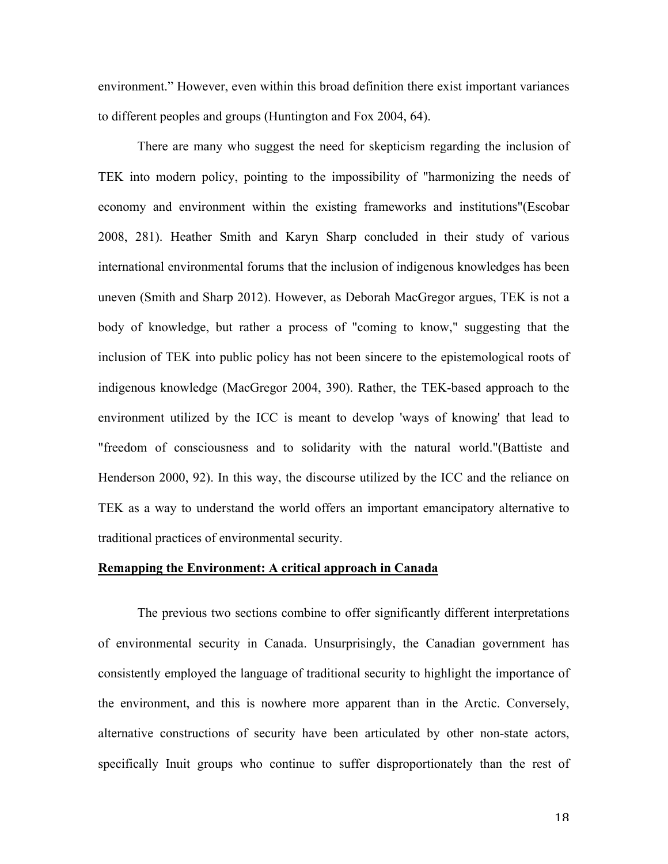environment." However, even within this broad definition there exist important variances to different peoples and groups (Huntington and Fox 2004, 64).

There are many who suggest the need for skepticism regarding the inclusion of TEK into modern policy, pointing to the impossibility of "harmonizing the needs of economy and environment within the existing frameworks and institutions"(Escobar 2008, 281). Heather Smith and Karyn Sharp concluded in their study of various international environmental forums that the inclusion of indigenous knowledges has been uneven (Smith and Sharp 2012). However, as Deborah MacGregor argues, TEK is not a body of knowledge, but rather a process of "coming to know," suggesting that the inclusion of TEK into public policy has not been sincere to the epistemological roots of indigenous knowledge (MacGregor 2004, 390). Rather, the TEK-based approach to the environment utilized by the ICC is meant to develop 'ways of knowing' that lead to "freedom of consciousness and to solidarity with the natural world."(Battiste and Henderson 2000, 92). In this way, the discourse utilized by the ICC and the reliance on TEK as a way to understand the world offers an important emancipatory alternative to traditional practices of environmental security.

#### **Remapping the Environment: A critical approach in Canada**

The previous two sections combine to offer significantly different interpretations of environmental security in Canada. Unsurprisingly, the Canadian government has consistently employed the language of traditional security to highlight the importance of the environment, and this is nowhere more apparent than in the Arctic. Conversely, alternative constructions of security have been articulated by other non-state actors, specifically Inuit groups who continue to suffer disproportionately than the rest of

18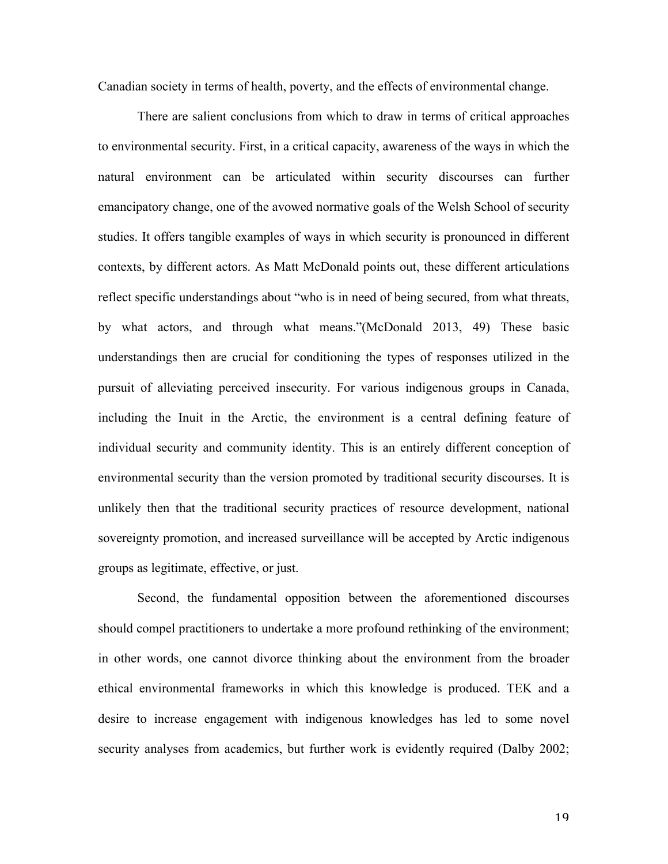Canadian society in terms of health, poverty, and the effects of environmental change.

There are salient conclusions from which to draw in terms of critical approaches to environmental security. First, in a critical capacity, awareness of the ways in which the natural environment can be articulated within security discourses can further emancipatory change, one of the avowed normative goals of the Welsh School of security studies. It offers tangible examples of ways in which security is pronounced in different contexts, by different actors. As Matt McDonald points out, these different articulations reflect specific understandings about "who is in need of being secured, from what threats, by what actors, and through what means."(McDonald 2013, 49) These basic understandings then are crucial for conditioning the types of responses utilized in the pursuit of alleviating perceived insecurity. For various indigenous groups in Canada, including the Inuit in the Arctic, the environment is a central defining feature of individual security and community identity. This is an entirely different conception of environmental security than the version promoted by traditional security discourses. It is unlikely then that the traditional security practices of resource development, national sovereignty promotion, and increased surveillance will be accepted by Arctic indigenous groups as legitimate, effective, or just.

Second, the fundamental opposition between the aforementioned discourses should compel practitioners to undertake a more profound rethinking of the environment; in other words, one cannot divorce thinking about the environment from the broader ethical environmental frameworks in which this knowledge is produced. TEK and a desire to increase engagement with indigenous knowledges has led to some novel security analyses from academics, but further work is evidently required (Dalby 2002;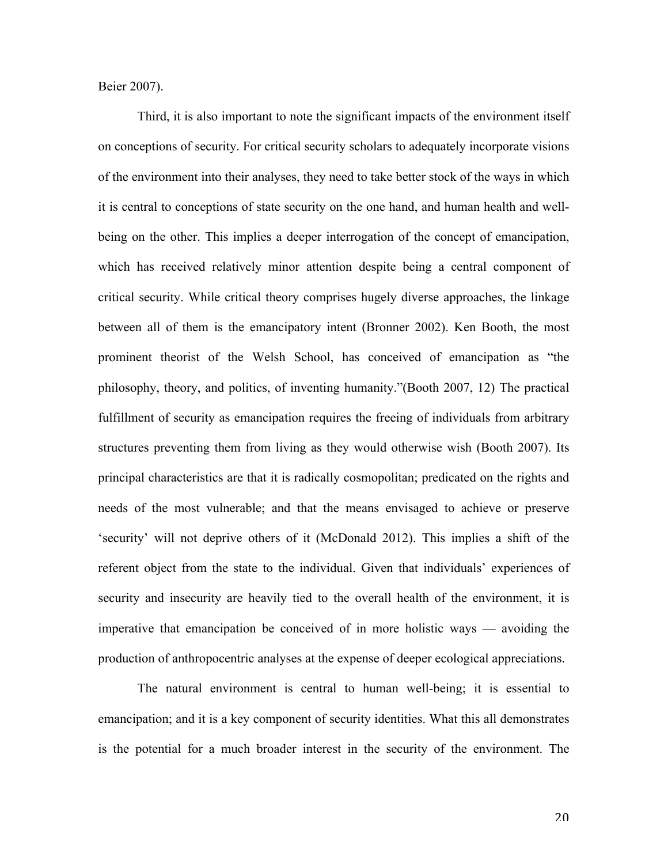Beier 2007).

Third, it is also important to note the significant impacts of the environment itself on conceptions of security. For critical security scholars to adequately incorporate visions of the environment into their analyses, they need to take better stock of the ways in which it is central to conceptions of state security on the one hand, and human health and wellbeing on the other. This implies a deeper interrogation of the concept of emancipation, which has received relatively minor attention despite being a central component of critical security. While critical theory comprises hugely diverse approaches, the linkage between all of them is the emancipatory intent (Bronner 2002). Ken Booth, the most prominent theorist of the Welsh School, has conceived of emancipation as "the philosophy, theory, and politics, of inventing humanity."(Booth 2007, 12) The practical fulfillment of security as emancipation requires the freeing of individuals from arbitrary structures preventing them from living as they would otherwise wish (Booth 2007). Its principal characteristics are that it is radically cosmopolitan; predicated on the rights and needs of the most vulnerable; and that the means envisaged to achieve or preserve 'security' will not deprive others of it (McDonald 2012). This implies a shift of the referent object from the state to the individual. Given that individuals' experiences of security and insecurity are heavily tied to the overall health of the environment, it is imperative that emancipation be conceived of in more holistic ways — avoiding the production of anthropocentric analyses at the expense of deeper ecological appreciations.

The natural environment is central to human well-being; it is essential to emancipation; and it is a key component of security identities. What this all demonstrates is the potential for a much broader interest in the security of the environment. The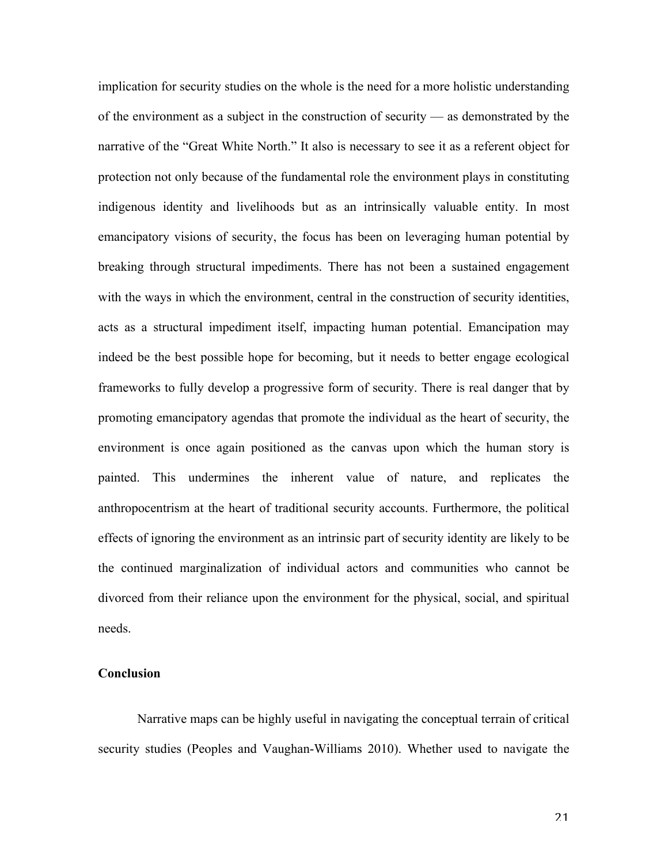implication for security studies on the whole is the need for a more holistic understanding of the environment as a subject in the construction of security — as demonstrated by the narrative of the "Great White North." It also is necessary to see it as a referent object for protection not only because of the fundamental role the environment plays in constituting indigenous identity and livelihoods but as an intrinsically valuable entity. In most emancipatory visions of security, the focus has been on leveraging human potential by breaking through structural impediments. There has not been a sustained engagement with the ways in which the environment, central in the construction of security identities, acts as a structural impediment itself, impacting human potential. Emancipation may indeed be the best possible hope for becoming, but it needs to better engage ecological frameworks to fully develop a progressive form of security. There is real danger that by promoting emancipatory agendas that promote the individual as the heart of security, the environment is once again positioned as the canvas upon which the human story is painted. This undermines the inherent value of nature, and replicates the anthropocentrism at the heart of traditional security accounts. Furthermore, the political effects of ignoring the environment as an intrinsic part of security identity are likely to be the continued marginalization of individual actors and communities who cannot be divorced from their reliance upon the environment for the physical, social, and spiritual needs.

### **Conclusion**

Narrative maps can be highly useful in navigating the conceptual terrain of critical security studies (Peoples and Vaughan-Williams 2010). Whether used to navigate the

21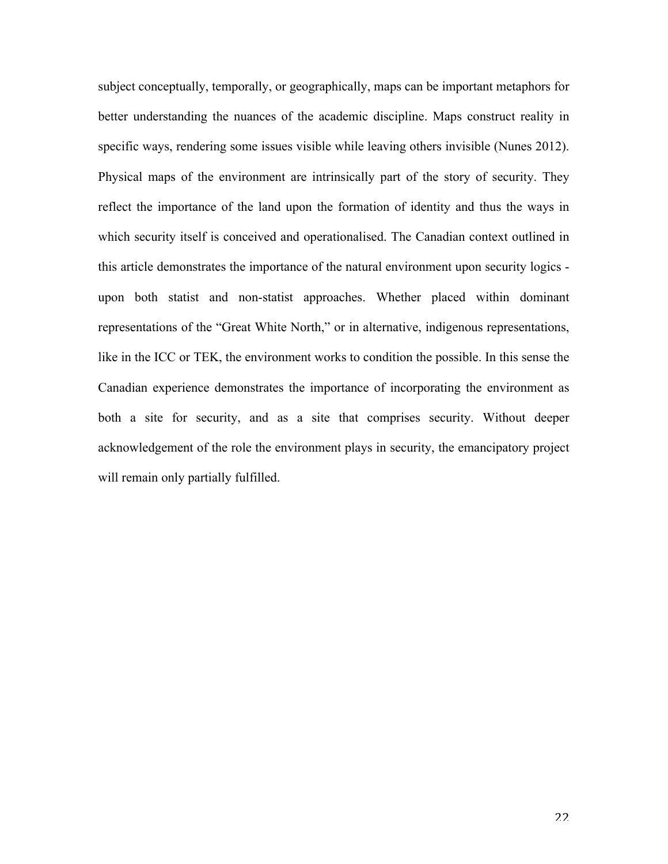subject conceptually, temporally, or geographically, maps can be important metaphors for better understanding the nuances of the academic discipline. Maps construct reality in specific ways, rendering some issues visible while leaving others invisible (Nunes 2012). Physical maps of the environment are intrinsically part of the story of security. They reflect the importance of the land upon the formation of identity and thus the ways in which security itself is conceived and operationalised. The Canadian context outlined in this article demonstrates the importance of the natural environment upon security logics upon both statist and non-statist approaches. Whether placed within dominant representations of the "Great White North," or in alternative, indigenous representations, like in the ICC or TEK, the environment works to condition the possible. In this sense the Canadian experience demonstrates the importance of incorporating the environment as both a site for security, and as a site that comprises security. Without deeper acknowledgement of the role the environment plays in security, the emancipatory project will remain only partially fulfilled.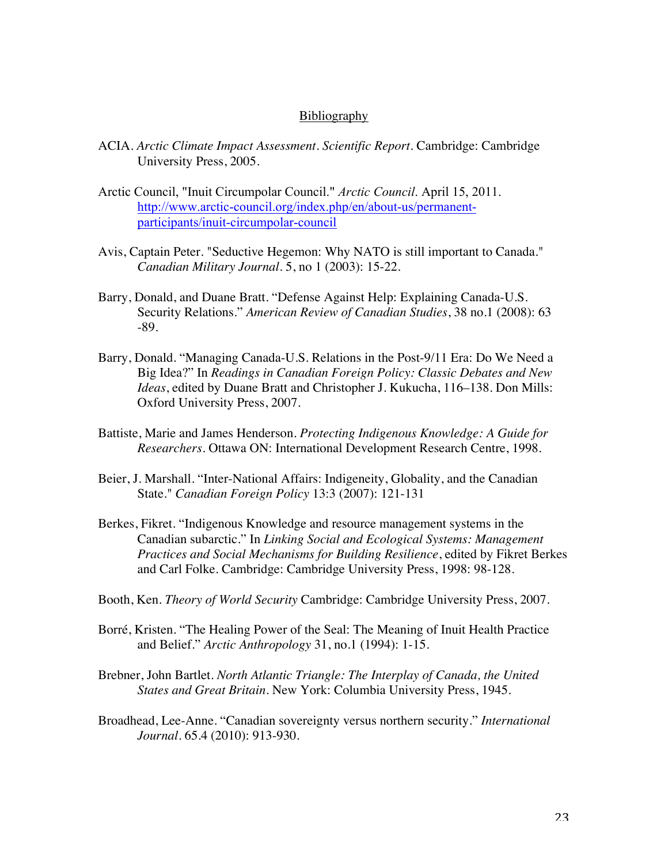#### **Bibliography**

- ACIA. *Arctic Climate Impact Assessment. Scientific Report.* Cambridge: Cambridge University Press, 2005.
- Arctic Council, "Inuit Circumpolar Council." *Arctic Council*. April 15, 2011. http://www.arctic-council.org/index.php/en/about-us/permanentparticipants/inuit-circumpolar-council
- Avis, Captain Peter. "Seductive Hegemon: Why NATO is still important to Canada." *Canadian Military Journal*. 5, no 1 (2003): 15-22.
- Barry, Donald, and Duane Bratt. "Defense Against Help: Explaining Canada-U.S. Security Relations." *American Review of Canadian Studies*, 38 no.1 (2008): 63 -89.
- Barry, Donald. "Managing Canada-U.S. Relations in the Post-9/11 Era: Do We Need a Big Idea?" In *Readings in Canadian Foreign Policy: Classic Debates and New Ideas*, edited by Duane Bratt and Christopher J. Kukucha, 116–138. Don Mills: Oxford University Press, 2007.
- Battiste, Marie and James Henderson. *Protecting Indigenous Knowledge: A Guide for Researchers.* Ottawa ON: International Development Research Centre, 1998.
- Beier, J. Marshall. "Inter-National Affairs: Indigeneity, Globality, and the Canadian State." *Canadian Foreign Policy* 13:3 (2007): 121-131
- Berkes, Fikret. "Indigenous Knowledge and resource management systems in the Canadian subarctic." In *Linking Social and Ecological Systems: Management Practices and Social Mechanisms for Building Resilience*, edited by Fikret Berkes and Carl Folke. Cambridge: Cambridge University Press, 1998: 98-128.
- Booth, Ken. *Theory of World Security* Cambridge: Cambridge University Press, 2007.
- Borré, Kristen. "The Healing Power of the Seal: The Meaning of Inuit Health Practice and Belief." *Arctic Anthropology* 31, no.1 (1994): 1-15.
- Brebner, John Bartlet. *North Atlantic Triangle: The Interplay of Canada, the United States and Great Britain.* New York: Columbia University Press, 1945.
- Broadhead, Lee-Anne. "Canadian sovereignty versus northern security." *International Journal*. 65.4 (2010): 913-930.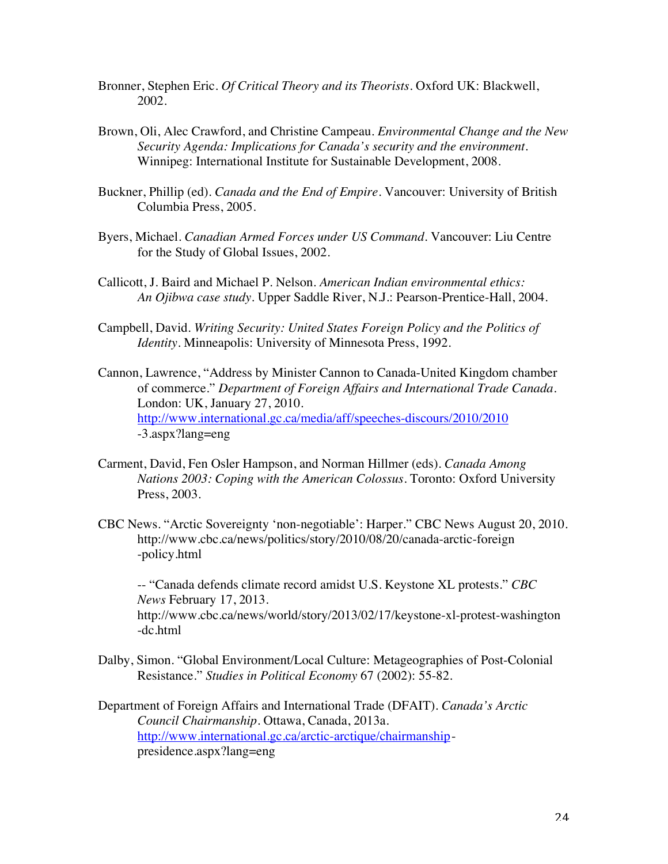- Bronner, Stephen Eric. *Of Critical Theory and its Theorists*. Oxford UK: Blackwell, 2002.
- Brown, Oli, Alec Crawford, and Christine Campeau. *Environmental Change and the New Security Agenda: Implications for Canada's security and the environment.* Winnipeg: International Institute for Sustainable Development, 2008.
- Buckner, Phillip (ed). *Canada and the End of Empire*. Vancouver: University of British Columbia Press, 2005.
- Byers, Michael. *Canadian Armed Forces under US Command.* Vancouver: Liu Centre for the Study of Global Issues, 2002.
- Callicott, J. Baird and Michael P. Nelson. *American Indian environmental ethics: An Ojibwa case study*. Upper Saddle River, N.J.: Pearson-Prentice-Hall, 2004.
- Campbell, David. *Writing Security: United States Foreign Policy and the Politics of Identity.* Minneapolis: University of Minnesota Press, 1992.
- Cannon, Lawrence, "Address by Minister Cannon to Canada-United Kingdom chamber of commerce." *Department of Foreign Affairs and International Trade Canada*. London: UK, January 27, 2010. http://www.international.gc.ca/media/aff/speeches-discours/2010/2010 -3.aspx?lang=eng
- Carment, David, Fen Osler Hampson, and Norman Hillmer (eds). *Canada Among Nations 2003: Coping with the American Colossus*. Toronto: Oxford University Press, 2003.
- CBC News. "Arctic Sovereignty 'non-negotiable': Harper." CBC News August 20, 2010. http://www.cbc.ca/news/politics/story/2010/08/20/canada-arctic-foreign -policy.html

-- "Canada defends climate record amidst U.S. Keystone XL protests." *CBC News* February 17, 2013. http://www.cbc.ca/news/world/story/2013/02/17/keystone-xl-protest-washington -dc.html

- Dalby, Simon. "Global Environment/Local Culture: Metageographies of Post-Colonial Resistance." *Studies in Political Economy* 67 (2002): 55-82.
- Department of Foreign Affairs and International Trade (DFAIT). *Canada's Arctic Council Chairmanship*. Ottawa, Canada, 2013a. http://www.international.gc.ca/arctic-arctique/chairmanshippresidence.aspx?lang=eng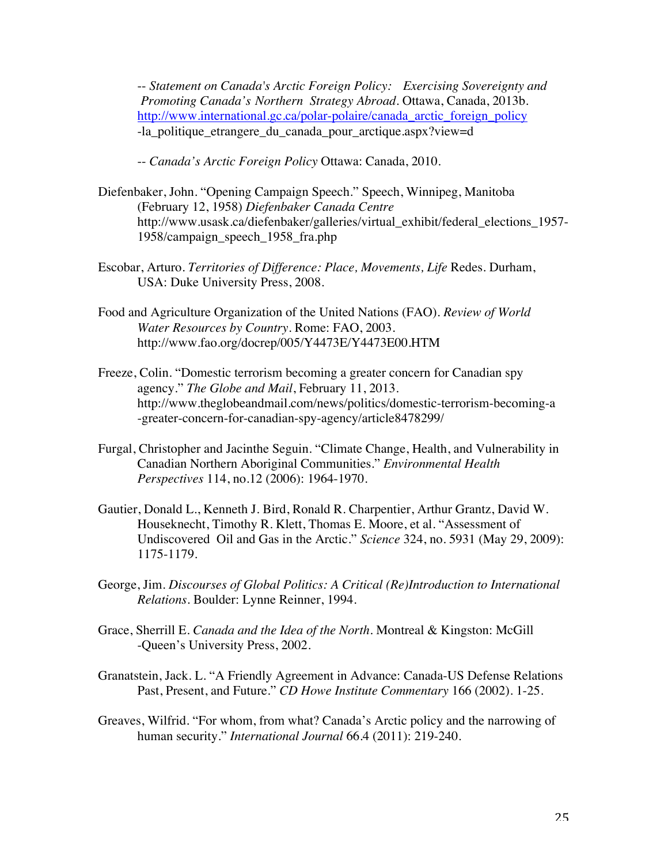-- *Statement on Canada's Arctic Foreign Policy: Exercising Sovereignty and Promoting Canada's Northern Strategy Abroad*. Ottawa, Canada, 2013b. http://www.international.gc.ca/polar-polaire/canada arctic foreign policy -la\_politique\_etrangere\_du\_canada\_pour\_arctique.aspx?view=d

-- *Canada's Arctic Foreign Policy* Ottawa: Canada, 2010.

- Diefenbaker, John. "Opening Campaign Speech." Speech, Winnipeg, Manitoba (February 12, 1958) *Diefenbaker Canada Centre* http://www.usask.ca/diefenbaker/galleries/virtual\_exhibit/federal\_elections\_1957- 1958/campaign\_speech\_1958\_fra.php
- Escobar, Arturo. *Territories of Difference: Place, Movements, Life* Redes. Durham, USA: Duke University Press, 2008.
- Food and Agriculture Organization of the United Nations (FAO). *Review of World Water Resources by Country*. Rome: FAO, 2003. http://www.fao.org/docrep/005/Y4473E/Y4473E00.HTM
- Freeze, Colin. "Domestic terrorism becoming a greater concern for Canadian spy agency." *The Globe and Mail*, February 11, 2013. http://www.theglobeandmail.com/news/politics/domestic-terrorism-becoming-a -greater-concern-for-canadian-spy-agency/article8478299/
- Furgal, Christopher and Jacinthe Seguin. "Climate Change, Health, and Vulnerability in Canadian Northern Aboriginal Communities." *Environmental Health Perspectives* 114, no.12 (2006): 1964-1970.
- Gautier, Donald L., Kenneth J. Bird, Ronald R. Charpentier, Arthur Grantz, David W. Houseknecht, Timothy R. Klett, Thomas E. Moore, et al. "Assessment of Undiscovered Oil and Gas in the Arctic." *Science* 324, no. 5931 (May 29, 2009): 1175-1179.
- George, Jim. *Discourses of Global Politics: A Critical (Re)Introduction to International Relations.* Boulder: Lynne Reinner, 1994.
- Grace, Sherrill E. *Canada and the Idea of the North.* Montreal & Kingston: McGill -Queen's University Press, 2002.
- Granatstein, Jack. L. "A Friendly Agreement in Advance: Canada-US Defense Relations Past, Present, and Future." *CD Howe Institute Commentary* 166 (2002). 1-25.
- Greaves, Wilfrid. "For whom, from what? Canada's Arctic policy and the narrowing of human security." *International Journal* 66.4 (2011): 219-240.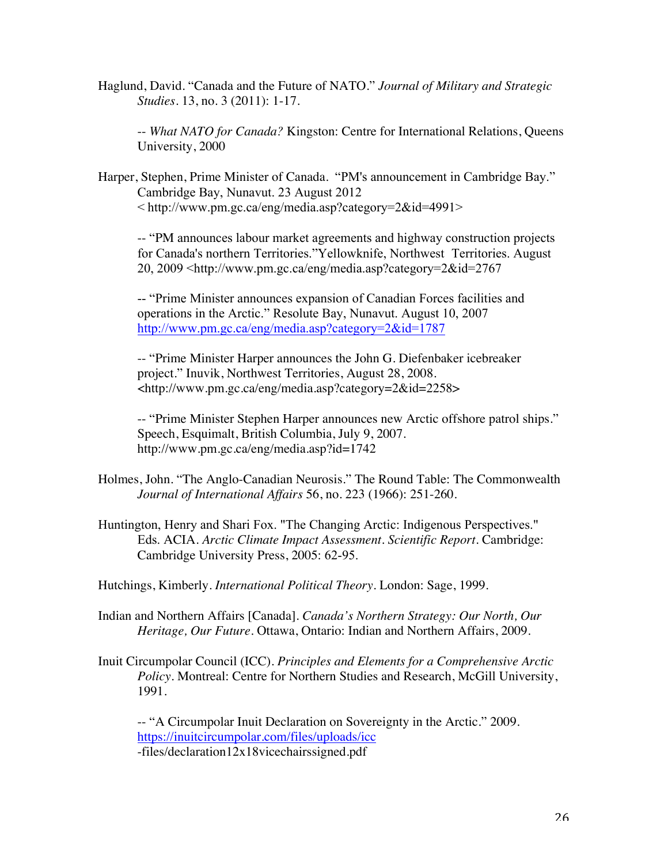Haglund, David. "Canada and the Future of NATO." *Journal of Military and Strategic Studies.* 13, no. 3 (2011): 1-17.

-- *What NATO for Canada?* Kingston: Centre for International Relations, Queens University, 2000

Harper, Stephen, Prime Minister of Canada. "PM's announcement in Cambridge Bay." Cambridge Bay, Nunavut. 23 August 2012 < http://www.pm.gc.ca/eng/media.asp?category=2&id=4991>

-- "PM announces labour market agreements and highway construction projects for Canada's northern Territories."Yellowknife, Northwest Territories. August 20, 2009 <http://www.pm.gc.ca/eng/media.asp?category=2&id=2767

-- "Prime Minister announces expansion of Canadian Forces facilities and operations in the Arctic." Resolute Bay, Nunavut. August 10, 2007 http://www.pm.gc.ca/eng/media.asp?category=2&id=1787

-- "Prime Minister Harper announces the John G. Diefenbaker icebreaker project." Inuvik, Northwest Territories, August 28, 2008. <http://www.pm.gc.ca/eng/media.asp?category=2&id=2258>

-- "Prime Minister Stephen Harper announces new Arctic offshore patrol ships." Speech, Esquimalt, British Columbia, July 9, 2007. http://www.pm.gc.ca/eng/media.asp?id=1742

- Holmes, John. "The Anglo-Canadian Neurosis." The Round Table: The Commonwealth *Journal of International Affairs* 56, no. 223 (1966): 251-260.
- Huntington, Henry and Shari Fox. "The Changing Arctic: Indigenous Perspectives." Eds. ACIA. *Arctic Climate Impact Assessment. Scientific Report.* Cambridge: Cambridge University Press, 2005: 62-95.

Hutchings, Kimberly. *International Political Theory*. London: Sage, 1999.

Indian and Northern Affairs [Canada]. *Canada's Northern Strategy: Our North, Our Heritage, Our Future*. Ottawa, Ontario: Indian and Northern Affairs, 2009.

Inuit Circumpolar Council (ICC). *Principles and Elements for a Comprehensive Arctic Policy*. Montreal: Centre for Northern Studies and Research, McGill University, 1991.

-- "A Circumpolar Inuit Declaration on Sovereignty in the Arctic." 2009. https://inuitcircumpolar.com/files/uploads/icc -files/declaration12x18vicechairssigned.pdf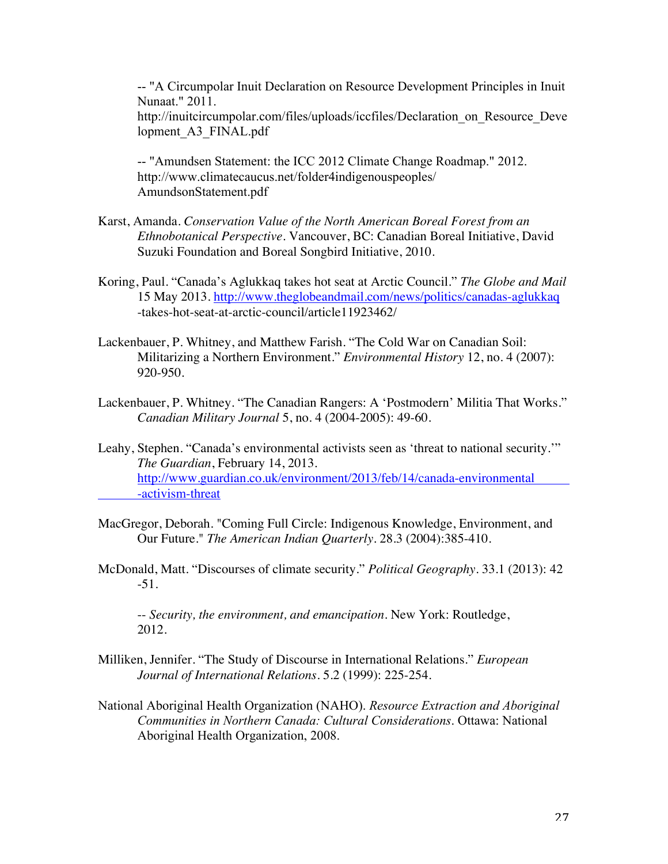-- "A Circumpolar Inuit Declaration on Resource Development Principles in Inuit Nunaat." 2011. http://inuitcircumpolar.com/files/uploads/iccfiles/Declaration\_on\_Resource\_Deve lopment\_A3\_FINAL.pdf

-- "Amundsen Statement: the ICC 2012 Climate Change Roadmap." 2012. http://www.climatecaucus.net/folder4indigenouspeoples/ AmundsonStatement.pdf

- Karst, Amanda. *Conservation Value of the North American Boreal Forest from an Ethnobotanical Perspective*. Vancouver, BC: Canadian Boreal Initiative, David Suzuki Foundation and Boreal Songbird Initiative, 2010.
- Koring, Paul. "Canada's Aglukkaq takes hot seat at Arctic Council." *The Globe and Mail* 15 May 2013. http://www.theglobeandmail.com/news/politics/canadas-aglukkaq -takes-hot-seat-at-arctic-council/article11923462/
- Lackenbauer, P. Whitney, and Matthew Farish. "The Cold War on Canadian Soil: Militarizing a Northern Environment." *Environmental History* 12, no. 4 (2007): 920-950.
- Lackenbauer, P. Whitney. "The Canadian Rangers: A 'Postmodern' Militia That Works." *Canadian Military Journal* 5, no. 4 (2004-2005): 49-60.
- Leahy, Stephen. "Canada's environmental activists seen as 'threat to national security.'" *The Guardian*, February 14, 2013. http://www.guardian.co.uk/environment/2013/feb/14/canada-environmental -activism-threat
- MacGregor, Deborah. "Coming Full Circle: Indigenous Knowledge, Environment, and Our Future." *The American Indian Quarterly.* 28.3 (2004):385-410.
- McDonald, Matt. "Discourses of climate security." *Political Geography.* 33.1 (2013): 42 -51.

-- *Security, the environment, and emancipation.* New York: Routledge, 2012.

- Milliken, Jennifer. "The Study of Discourse in International Relations." *European Journal of International Relations.* 5.2 (1999): 225-254.
- National Aboriginal Health Organization (NAHO). *Resource Extraction and Aboriginal Communities in Northern Canada: Cultural Considerations*. Ottawa: National Aboriginal Health Organization, 2008.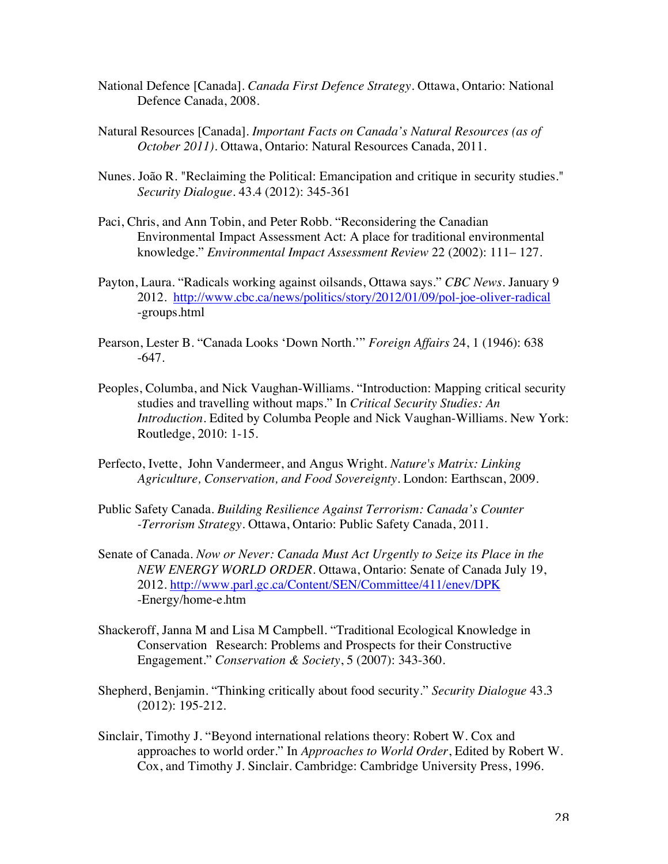- National Defence [Canada]. *Canada First Defence Strategy.* Ottawa, Ontario: National Defence Canada, 2008.
- Natural Resources [Canada]. *Important Facts on Canada's Natural Resources (as of October 2011).* Ottawa, Ontario: Natural Resources Canada, 2011.
- Nunes. João R. "Reclaiming the Political: Emancipation and critique in security studies." *Security Dialogue.* 43.4 (2012): 345-361
- Paci, Chris, and Ann Tobin, and Peter Robb. "Reconsidering the Canadian Environmental Impact Assessment Act: A place for traditional environmental knowledge." *Environmental Impact Assessment Review* 22 (2002): 111– 127.
- Payton, Laura. "Radicals working against oilsands, Ottawa says." *CBC News*. January 9 2012. http://www.cbc.ca/news/politics/story/2012/01/09/pol-joe-oliver-radical -groups.html
- Pearson, Lester B. "Canada Looks 'Down North.'" *Foreign Affairs* 24, 1 (1946): 638 -647.
- Peoples, Columba, and Nick Vaughan-Williams. "Introduction: Mapping critical security studies and travelling without maps." In *Critical Security Studies: An Introduction*. Edited by Columba People and Nick Vaughan-Williams. New York: Routledge, 2010: 1-15.
- Perfecto, Ivette, John Vandermeer, and Angus Wright. *Nature's Matrix: Linking Agriculture, Conservation, and Food Sovereignty*. London: Earthscan, 2009.
- Public Safety Canada. *Building Resilience Against Terrorism: Canada's Counter -Terrorism Strategy*. Ottawa, Ontario: Public Safety Canada, 2011.
- Senate of Canada. *Now or Never: Canada Must Act Urgently to Seize its Place in the NEW ENERGY WORLD ORDER*. Ottawa, Ontario: Senate of Canada July 19, 2012. http://www.parl.gc.ca/Content/SEN/Committee/411/enev/DPK -Energy/home-e.htm
- Shackeroff, Janna M and Lisa M Campbell. "Traditional Ecological Knowledge in Conservation Research: Problems and Prospects for their Constructive Engagement." *Conservation & Society*, 5 (2007): 343-360.
- Shepherd, Benjamin. "Thinking critically about food security." *Security Dialogue* 43.3 (2012): 195-212.
- Sinclair, Timothy J. "Beyond international relations theory: Robert W. Cox and approaches to world order." In *Approaches to World Order*, Edited by Robert W. Cox, and Timothy J. Sinclair. Cambridge: Cambridge University Press, 1996.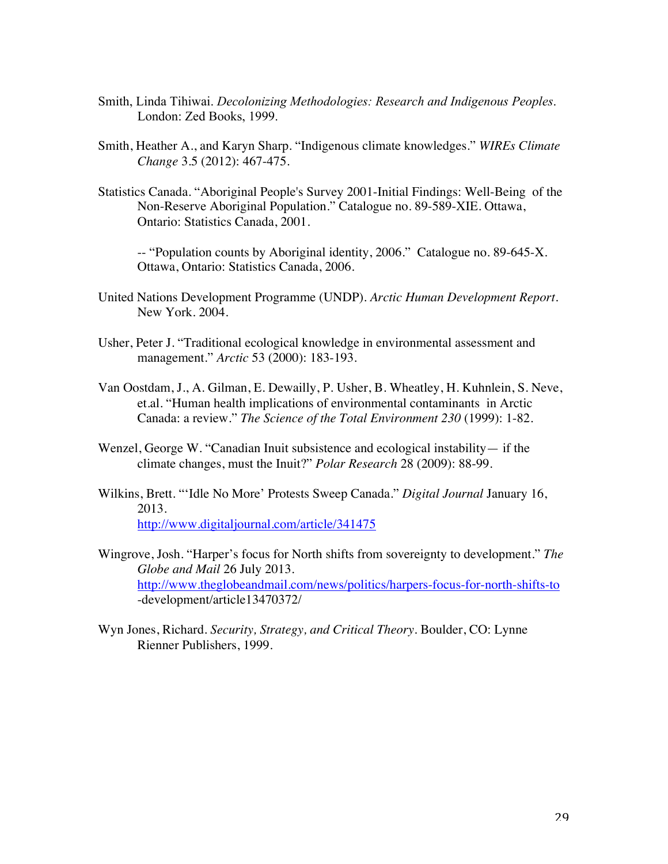- Smith, Linda Tihiwai. *Decolonizing Methodologies: Research and Indigenous Peoples*. London: Zed Books, 1999.
- Smith, Heather A., and Karyn Sharp. "Indigenous climate knowledges." *WIREs Climate Change* 3.5 (2012): 467-475.
- Statistics Canada. "Aboriginal People's Survey 2001-Initial Findings: Well-Being of the Non-Reserve Aboriginal Population." Catalogue no. 89-589-XIE. Ottawa, Ontario: Statistics Canada, 2001.

-- "Population counts by Aboriginal identity, 2006." Catalogue no. 89-645-X. Ottawa, Ontario: Statistics Canada, 2006.

- United Nations Development Programme (UNDP). *Arctic Human Development Report*. New York. 2004.
- Usher, Peter J. "Traditional ecological knowledge in environmental assessment and management." *Arctic* 53 (2000): 183-193.
- Van Oostdam, J., A. Gilman, E. Dewailly, P. Usher, B. Wheatley, H. Kuhnlein, S. Neve, et.al. "Human health implications of environmental contaminants in Arctic Canada: a review." *The Science of the Total Environment 230* (1999): 1-82*.*
- Wenzel, George W. "Canadian Inuit subsistence and ecological instability— if the climate changes, must the Inuit?" *Polar Research* 28 (2009): 88-99.
- Wilkins, Brett. "'Idle No More' Protests Sweep Canada." *Digital Journal* January 16, 2013. http://www.digitaljournal.com/article/341475
- Wingrove, Josh. "Harper's focus for North shifts from sovereignty to development." *The Globe and Mail* 26 July 2013. http://www.theglobeandmail.com/news/politics/harpers-focus-for-north-shifts-to -development/article13470372/
- Wyn Jones, Richard. *Security, Strategy, and Critical Theory*. Boulder, CO: Lynne Rienner Publishers, 1999.